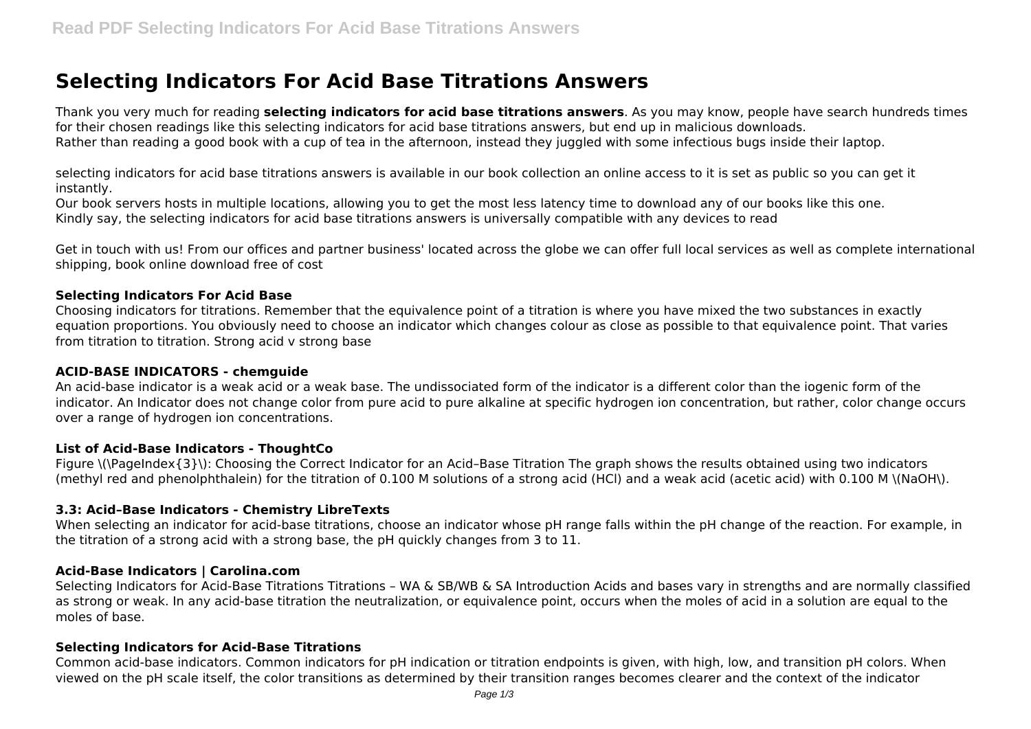# **Selecting Indicators For Acid Base Titrations Answers**

Thank you very much for reading **selecting indicators for acid base titrations answers**. As you may know, people have search hundreds times for their chosen readings like this selecting indicators for acid base titrations answers, but end up in malicious downloads. Rather than reading a good book with a cup of tea in the afternoon, instead they juggled with some infectious bugs inside their laptop.

selecting indicators for acid base titrations answers is available in our book collection an online access to it is set as public so you can get it instantly.

Our book servers hosts in multiple locations, allowing you to get the most less latency time to download any of our books like this one. Kindly say, the selecting indicators for acid base titrations answers is universally compatible with any devices to read

Get in touch with us! From our offices and partner business' located across the globe we can offer full local services as well as complete international shipping, book online download free of cost

#### **Selecting Indicators For Acid Base**

Choosing indicators for titrations. Remember that the equivalence point of a titration is where you have mixed the two substances in exactly equation proportions. You obviously need to choose an indicator which changes colour as close as possible to that equivalence point. That varies from titration to titration. Strong acid v strong base

## **ACID-BASE INDICATORS - chemguide**

An acid-base indicator is a weak acid or a weak base. The undissociated form of the indicator is a different color than the iogenic form of the indicator. An Indicator does not change color from pure acid to pure alkaline at specific hydrogen ion concentration, but rather, color change occurs over a range of hydrogen ion concentrations.

# **List of Acid-Base Indicators - ThoughtCo**

Figure \(\PageIndex{3}\): Choosing the Correct Indicator for an Acid–Base Titration The graph shows the results obtained using two indicators (methyl red and phenolphthalein) for the titration of 0.100 M solutions of a strong acid (HCl) and a weak acid (acetic acid) with 0.100 M \(NaOH\).

#### **3.3: Acid–Base Indicators - Chemistry LibreTexts**

When selecting an indicator for acid-base titrations, choose an indicator whose pH range falls within the pH change of the reaction. For example, in the titration of a strong acid with a strong base, the pH quickly changes from 3 to 11.

#### **Acid-Base Indicators | Carolina.com**

Selecting Indicators for Acid-Base Titrations Titrations – WA & SB/WB & SA Introduction Acids and bases vary in strengths and are normally classified as strong or weak. In any acid-base titration the neutralization, or equivalence point, occurs when the moles of acid in a solution are equal to the moles of base.

# **Selecting Indicators for Acid-Base Titrations**

Common acid-base indicators. Common indicators for pH indication or titration endpoints is given, with high, low, and transition pH colors. When viewed on the pH scale itself, the color transitions as determined by their transition ranges becomes clearer and the context of the indicator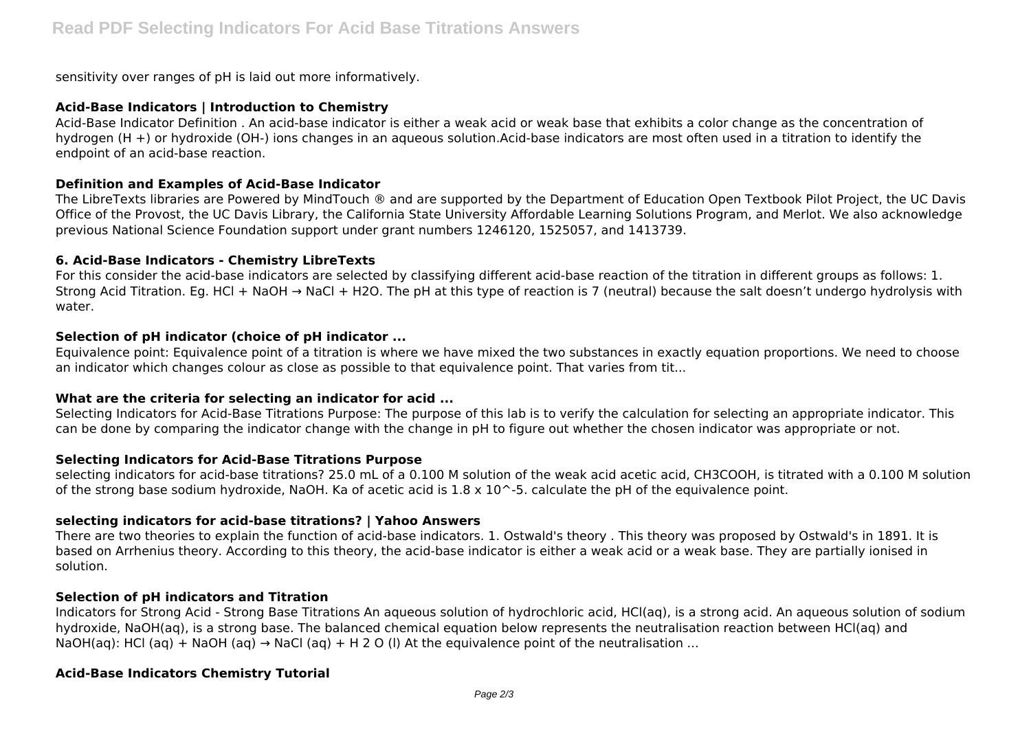sensitivity over ranges of pH is laid out more informatively.

## **Acid-Base Indicators | Introduction to Chemistry**

Acid-Base Indicator Definition . An acid-base indicator is either a weak acid or weak base that exhibits a color change as the concentration of hydrogen (H +) or hydroxide (OH-) ions changes in an aqueous solution.Acid-base indicators are most often used in a titration to identify the endpoint of an acid-base reaction.

#### **Definition and Examples of Acid-Base Indicator**

The LibreTexts libraries are Powered by MindTouch ® and are supported by the Department of Education Open Textbook Pilot Project, the UC Davis Office of the Provost, the UC Davis Library, the California State University Affordable Learning Solutions Program, and Merlot. We also acknowledge previous National Science Foundation support under grant numbers 1246120, 1525057, and 1413739.

## **6. Acid-Base Indicators - Chemistry LibreTexts**

For this consider the acid-base indicators are selected by classifying different acid-base reaction of the titration in different groups as follows: 1. Strong Acid Titration. Eg. HCl + NaOH → NaCl + H2O. The pH at this type of reaction is 7 (neutral) because the salt doesn't undergo hydrolysis with water.

## **Selection of pH indicator (choice of pH indicator ...**

Equivalence point: Equivalence point of a titration is where we have mixed the two substances in exactly equation proportions. We need to choose an indicator which changes colour as close as possible to that equivalence point. That varies from tit...

# **What are the criteria for selecting an indicator for acid ...**

Selecting Indicators for Acid-Base Titrations Purpose: The purpose of this lab is to verify the calculation for selecting an appropriate indicator. This can be done by comparing the indicator change with the change in pH to figure out whether the chosen indicator was appropriate or not.

# **Selecting Indicators for Acid-Base Titrations Purpose**

selecting indicators for acid-base titrations? 25.0 mL of a 0.100 M solution of the weak acid acetic acid, CH3COOH, is titrated with a 0.100 M solution of the strong base sodium hydroxide, NaOH. Ka of acetic acid is  $1.8 \times 10$  ^-5. calculate the pH of the equivalence point.

# **selecting indicators for acid-base titrations? | Yahoo Answers**

There are two theories to explain the function of acid-base indicators. 1. Ostwald's theory . This theory was proposed by Ostwald's in 1891. It is based on Arrhenius theory. According to this theory, the acid-base indicator is either a weak acid or a weak base. They are partially ionised in solution.

#### **Selection of pH indicators and Titration**

Indicators for Strong Acid - Strong Base Titrations An aqueous solution of hydrochloric acid, HCl(aq), is a strong acid. An aqueous solution of sodium hydroxide, NaOH(aq), is a strong base. The balanced chemical equation below represents the neutralisation reaction between HCl(aq) and NaOH(aq): HCl (aq) + NaOH (aq)  $\rightarrow$  NaCl (aq) + H 2 O (I) At the equivalence point of the neutralisation ...

# **Acid-Base Indicators Chemistry Tutorial**